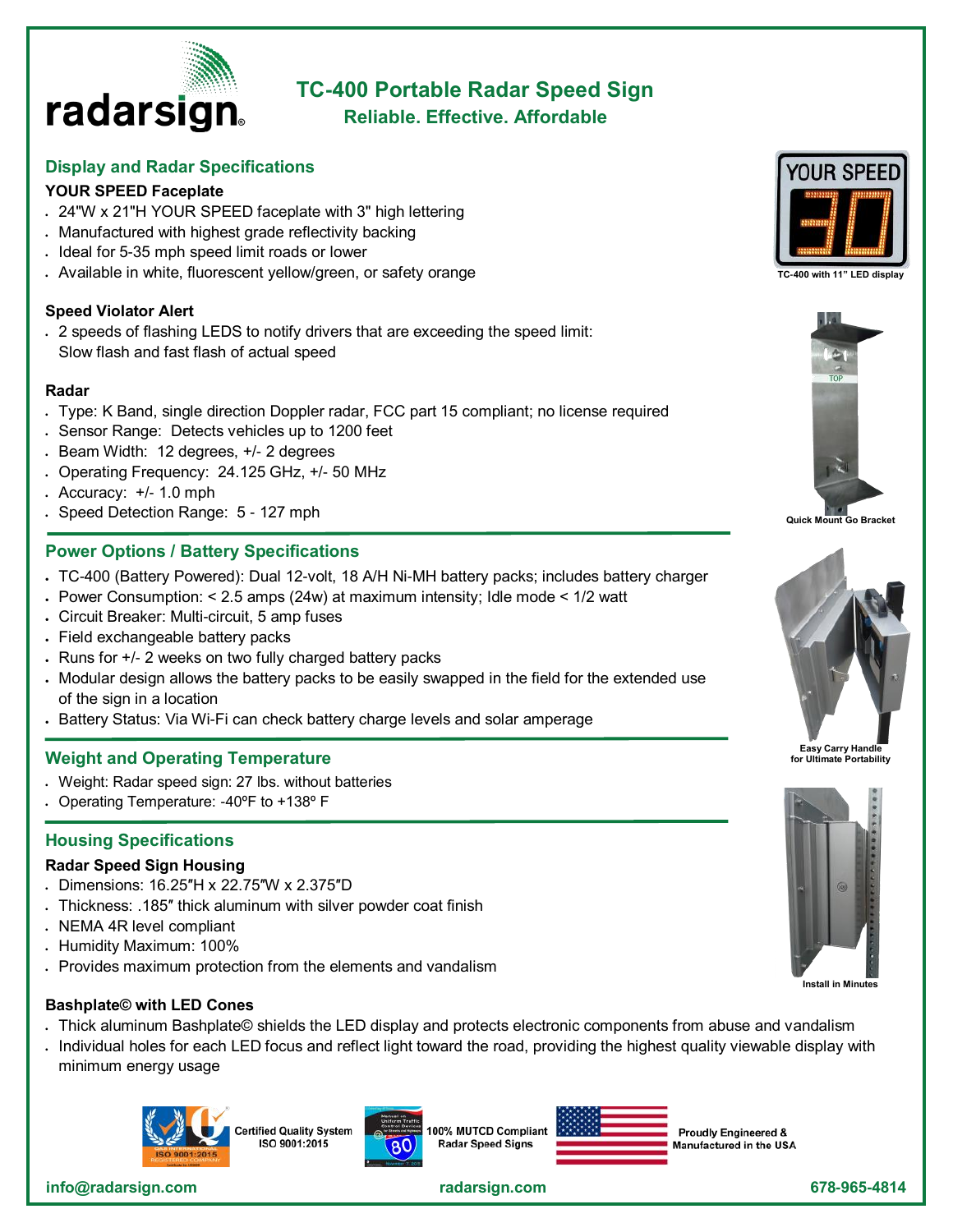

# **TC-400 Portable Radar Speed Sign Reliable. Effective. Affordable**

# **Display and Radar Specifications**

### **YOUR SPEED Faceplate**

- 24"W x 21"H YOUR SPEED faceplate with 3" high lettering
- Manufactured with highest grade reflectivity backing
- Ideal for 5-35 mph speed limit roads or lower
- Available in white, fluorescent yellow/green, or safety orange

#### **Speed Violator Alert**

• 2 speeds of flashing LEDS to notify drivers that are exceeding the speed limit: Slow flash and fast flash of actual speed

#### **Radar**

- Type: K Band, single direction Doppler radar, FCC part 15 compliant; no license required
- Sensor Range: Detects vehicles up to 1200 feet
- Beam Width: 12 degrees, +/- 2 degrees
- Operating Frequency: 24.125 GHz, +/- 50 MHz
- $\cdot$  Accuracy:  $+/- 1.0$  mph
- Speed Detection Range: 5 127 mph

## **Power Options / Battery Specifications**

- TC-400 (Battery Powered): Dual 12-volt, 18 A/H Ni-MH battery packs; includes battery charger
- Power Consumption: < 2.5 amps (24w) at maximum intensity; Idle mode < 1/2 watt
- Circuit Breaker: Multi-circuit, 5 amp fuses
- Field exchangeable battery packs
- Runs for +/- 2 weeks on two fully charged battery packs
- Modular design allows the battery packs to be easily swapped in the field for the extended use of the sign in a location
- Battery Status: Via Wi-Fi can check battery charge levels and solar amperage

#### **Weight and Operating Temperature**

- Weight: Radar speed sign: 27 lbs. without batteries
- Operating Temperature: -40ºF to +138º F

#### **Housing Specifications**

#### **Radar Speed Sign Housing**

- Dimensions: 16.25″H x 22.75″W x 2.375″D
- Thickness: .185″ thick aluminum with silver powder coat finish
- NEMA 4R level compliant
- Humidity Maximum: 100%
- Provides maximum protection from the elements and vandalism

#### **Bashplate© with LED Cones**

- Thick aluminum Bashplate© shields the LED display and protects electronic components from abuse and vandalism
- Individual holes for each LED focus and reflect light toward the road, providing the highest quality viewable display with minimum energy usage



ertified Quality System ISO 9001:2015



100% MUTCD Compliant **Radar Speed Signs** 



**Proudly Engineered &** Manufactured in the USA





**Quick Mount Go Bracket**





 **info@radarsign.com [radarsign.com](http://www.radarsign.com) 678-965-4814**